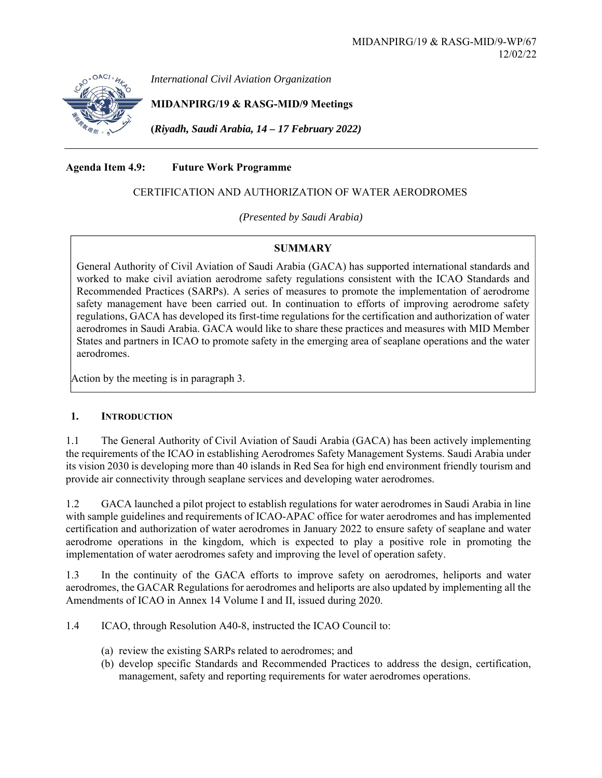

*International Civil Aviation Organization*

**MIDANPIRG/19 & RASG-MID/9 Meetings** 

**(***Riyadh, Saudi Arabia, 14 – 17 February 2022)* 

# **Agenda Item 4.9: Future Work Programme**

# CERTIFICATION AND AUTHORIZATION OF WATER AERODROMES

*(Presented by Saudi Arabia)* 

## **SUMMARY**

General Authority of Civil Aviation of Saudi Arabia (GACA) has supported international standards and worked to make civil aviation aerodrome safety regulations consistent with the ICAO Standards and Recommended Practices (SARPs). A series of measures to promote the implementation of aerodrome safety management have been carried out. In continuation to efforts of improving aerodrome safety regulations, GACA has developed its first-time regulations for the certification and authorization of water aerodromes in Saudi Arabia. GACA would like to share these practices and measures with MID Member States and partners in ICAO to promote safety in the emerging area of seaplane operations and the water aerodromes.

Action by the meeting is in paragraph 3.

## **1. INTRODUCTION**

1.1 The General Authority of Civil Aviation of Saudi Arabia (GACA) has been actively implementing the requirements of the ICAO in establishing Aerodromes Safety Management Systems. Saudi Arabia under its vision 2030 is developing more than 40 islands in Red Sea for high end environment friendly tourism and provide air connectivity through seaplane services and developing water aerodromes.

1.2 GACA launched a pilot project to establish regulations for water aerodromes in Saudi Arabia in line with sample guidelines and requirements of ICAO-APAC office for water aerodromes and has implemented certification and authorization of water aerodromes in January 2022 to ensure safety of seaplane and water aerodrome operations in the kingdom, which is expected to play a positive role in promoting the implementation of water aerodromes safety and improving the level of operation safety.

1.3 In the continuity of the GACA efforts to improve safety on aerodromes, heliports and water aerodromes, the GACAR Regulations for aerodromes and heliports are also updated by implementing all the Amendments of ICAO in Annex 14 Volume I and II, issued during 2020.

1.4 ICAO, through Resolution A40-8, instructed the ICAO Council to:

- (a) review the existing SARPs related to aerodromes; and
- (b) develop specific Standards and Recommended Practices to address the design, certification, management, safety and reporting requirements for water aerodromes operations.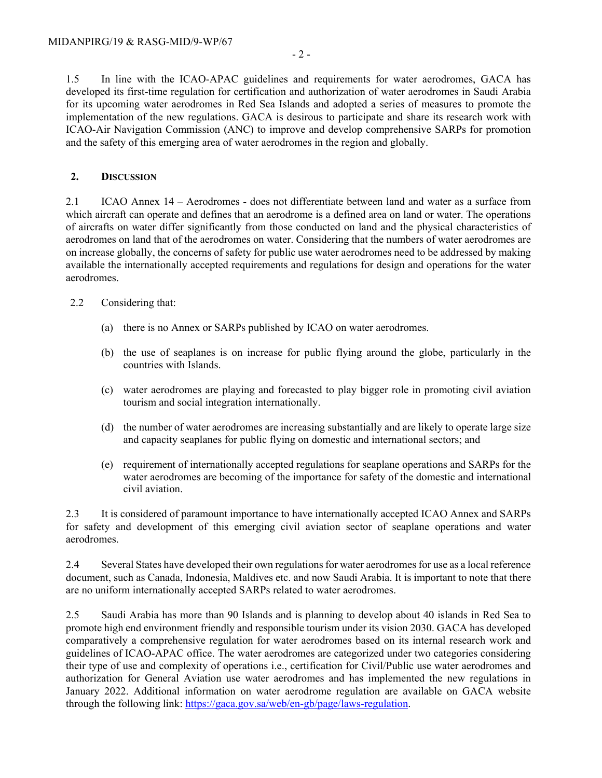1.5 In line with the ICAO-APAC guidelines and requirements for water aerodromes, GACA has developed its first-time regulation for certification and authorization of water aerodromes in Saudi Arabia for its upcoming water aerodromes in Red Sea Islands and adopted a series of measures to promote the implementation of the new regulations. GACA is desirous to participate and share its research work with ICAO-Air Navigation Commission (ANC) to improve and develop comprehensive SARPs for promotion and the safety of this emerging area of water aerodromes in the region and globally.

#### **2. DISCUSSION**

2.1 ICAO Annex 14 – Aerodromes - does not differentiate between land and water as a surface from which aircraft can operate and defines that an aerodrome is a defined area on land or water. The operations of aircrafts on water differ significantly from those conducted on land and the physical characteristics of aerodromes on land that of the aerodromes on water. Considering that the numbers of water aerodromes are on increase globally, the concerns of safety for public use water aerodromes need to be addressed by making available the internationally accepted requirements and regulations for design and operations for the water aerodromes.

#### 2.2 Considering that:

- (a) there is no Annex or SARPs published by ICAO on water aerodromes.
- (b) the use of seaplanes is on increase for public flying around the globe, particularly in the countries with Islands.
- (c) water aerodromes are playing and forecasted to play bigger role in promoting civil aviation tourism and social integration internationally.
- (d) the number of water aerodromes are increasing substantially and are likely to operate large size and capacity seaplanes for public flying on domestic and international sectors; and
- (e) requirement of internationally accepted regulations for seaplane operations and SARPs for the water aerodromes are becoming of the importance for safety of the domestic and international civil aviation.

2.3 It is considered of paramount importance to have internationally accepted ICAO Annex and SARPs for safety and development of this emerging civil aviation sector of seaplane operations and water aerodromes.

2.4 Several States have developed their own regulations for water aerodromes for use as a local reference document, such as Canada, Indonesia, Maldives etc. and now Saudi Arabia. It is important to note that there are no uniform internationally accepted SARPs related to water aerodromes.

2.5 Saudi Arabia has more than 90 Islands and is planning to develop about 40 islands in Red Sea to promote high end environment friendly and responsible tourism under its vision 2030. GACA has developed comparatively a comprehensive regulation for water aerodromes based on its internal research work and guidelines of ICAO-APAC office. The water aerodromes are categorized under two categories considering their type of use and complexity of operations i.e., certification for Civil/Public use water aerodromes and authorization for General Aviation use water aerodromes and has implemented the new regulations in January 2022. Additional information on water aerodrome regulation are available on GACA website through the following link: https://gaca.gov.sa/web/en-gb/page/laws-regulation.